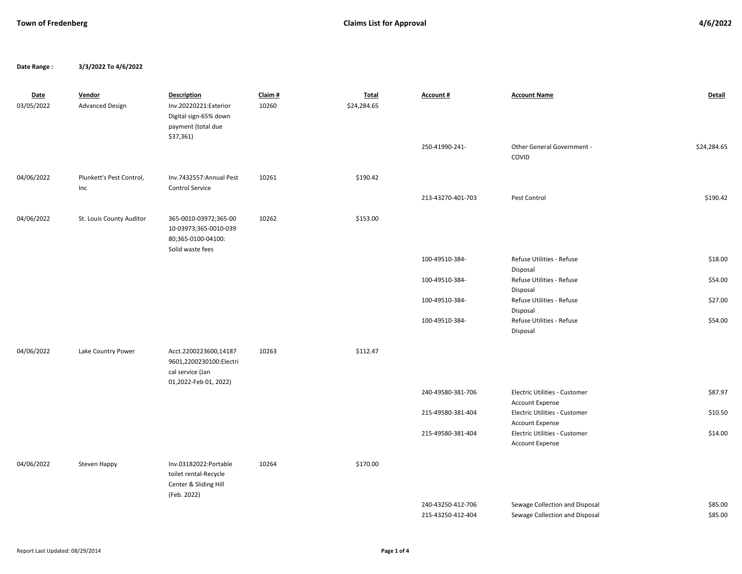**Date Range : 3/3/2022 To 4/6/2022**

| Date<br>03/05/2022 | Vendor<br><b>Advanced Design</b> | <b>Description</b><br>Inv.20220221:Exterior<br>Digital sign-65% down<br>payment (total due    | Claim #<br>10260 | <b>Total</b><br>\$24,284.65 | Account #                              | <b>Account Name</b>                                              | <b>Detail</b>      |
|--------------------|----------------------------------|-----------------------------------------------------------------------------------------------|------------------|-----------------------------|----------------------------------------|------------------------------------------------------------------|--------------------|
|                    |                                  | \$37,361                                                                                      |                  |                             | 250-41990-241-                         | Other General Government -<br>COVID                              | \$24,284.65        |
| 04/06/2022         | Plunkett's Pest Control,<br>Inc  | Inv.7432557: Annual Pest<br><b>Control Service</b>                                            | 10261            | \$190.42                    | 213-43270-401-703                      | Pest Control                                                     | \$190.42           |
| 04/06/2022         | St. Louis County Auditor         | 365-0010-03972;365-00<br>10-03973;365-0010-039<br>80;365-0100-04100:                          | 10262            | \$153.00                    |                                        |                                                                  |                    |
|                    |                                  | Solid waste fees                                                                              |                  |                             | 100-49510-384-                         | Refuse Utilities - Refuse                                        | \$18.00            |
|                    |                                  |                                                                                               |                  |                             | 100-49510-384-                         | Disposal<br>Refuse Utilities - Refuse<br>Disposal                | \$54.00            |
|                    |                                  |                                                                                               |                  |                             | 100-49510-384-                         | Refuse Utilities - Refuse                                        | \$27.00            |
|                    |                                  |                                                                                               |                  |                             | 100-49510-384-                         | Disposal<br>Refuse Utilities - Refuse<br>Disposal                | \$54.00            |
| 04/06/2022         | Lake Country Power               | Acct.2200223600,14187<br>9601,2200230100:Electri<br>cal service (Jan<br>01,2022-Feb 01, 2022) | 10263            | \$112.47                    |                                        |                                                                  |                    |
|                    |                                  |                                                                                               |                  |                             | 240-49580-381-706                      | Electric Utilities - Customer<br><b>Account Expense</b>          | \$87.97            |
|                    |                                  |                                                                                               |                  |                             | 215-49580-381-404                      | Electric Utilities - Customer<br><b>Account Expense</b>          | \$10.50            |
|                    |                                  |                                                                                               |                  |                             | 215-49580-381-404                      | Electric Utilities - Customer<br>Account Expense                 | \$14.00            |
| 04/06/2022         | Steven Happy                     | Inv.03182022:Portable<br>toilet rental-Recycle<br>Center & Sliding Hill<br>(Feb. 2022)        | 10264            | \$170.00                    |                                        |                                                                  |                    |
|                    |                                  |                                                                                               |                  |                             | 240-43250-412-706<br>215-43250-412-404 | Sewage Collection and Disposal<br>Sewage Collection and Disposal | \$85.00<br>\$85.00 |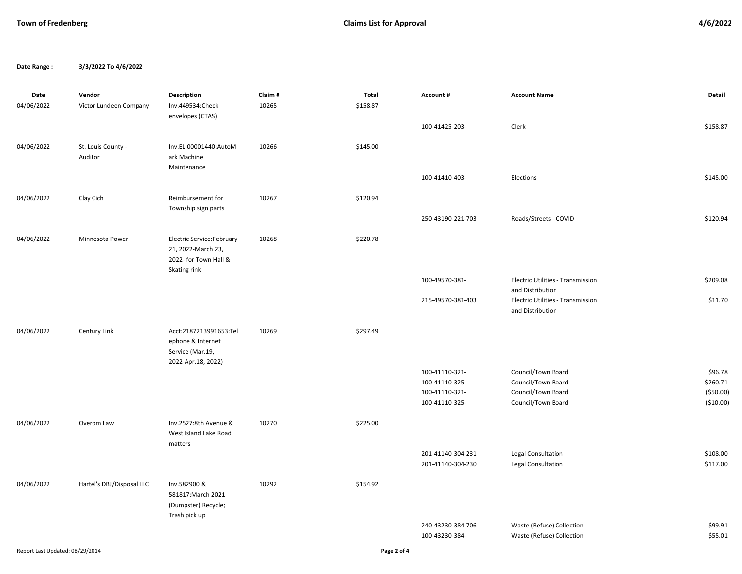**Date Range : 3/3/2022 To 4/6/2022**

| <b>Date</b>                     | Vendor                        | <b>Description</b>                                                                        | Claim# | <b>Total</b> | Account #                                                            | <b>Account Name</b>                                                                  | Detail                                          |
|---------------------------------|-------------------------------|-------------------------------------------------------------------------------------------|--------|--------------|----------------------------------------------------------------------|--------------------------------------------------------------------------------------|-------------------------------------------------|
| 04/06/2022                      | Victor Lundeen Company        | Inv.449534:Check<br>envelopes (CTAS)                                                      | 10265  | \$158.87     |                                                                      |                                                                                      |                                                 |
|                                 |                               |                                                                                           |        |              | 100-41425-203-                                                       | Clerk                                                                                | \$158.87                                        |
| 04/06/2022                      | St. Louis County -<br>Auditor | Inv.EL-00001440:AutoM<br>ark Machine                                                      | 10266  | \$145.00     |                                                                      |                                                                                      |                                                 |
|                                 |                               | Maintenance                                                                               |        |              | 100-41410-403-                                                       | Elections                                                                            | \$145.00                                        |
| 04/06/2022                      | Clay Cich                     | Reimbursement for<br>Township sign parts                                                  | 10267  | \$120.94     |                                                                      |                                                                                      |                                                 |
|                                 |                               |                                                                                           |        |              | 250-43190-221-703                                                    | Roads/Streets - COVID                                                                | \$120.94                                        |
| 04/06/2022                      | Minnesota Power               | Electric Service: February<br>21, 2022-March 23,<br>2022- for Town Hall &<br>Skating rink | 10268  | \$220.78     |                                                                      |                                                                                      |                                                 |
|                                 |                               |                                                                                           |        |              | 100-49570-381-                                                       | Electric Utilities - Transmission<br>and Distribution                                | \$209.08                                        |
|                                 |                               |                                                                                           |        |              | 215-49570-381-403                                                    | Electric Utilities - Transmission<br>and Distribution                                | \$11.70                                         |
| 04/06/2022                      | Century Link                  | Acct:2187213991653:Tel<br>ephone & Internet<br>Service (Mar.19,<br>2022-Apr.18, 2022)     | 10269  | \$297.49     |                                                                      |                                                                                      |                                                 |
|                                 |                               |                                                                                           |        |              | 100-41110-321-<br>100-41110-325-<br>100-41110-321-<br>100-41110-325- | Council/Town Board<br>Council/Town Board<br>Council/Town Board<br>Council/Town Board | \$96.78<br>\$260.71<br>( \$50.00)<br>( \$10.00) |
| 04/06/2022                      | Overom Law                    | Inv.2527:8th Avenue &<br>West Island Lake Road<br>matters                                 | 10270  | \$225.00     |                                                                      |                                                                                      |                                                 |
|                                 |                               |                                                                                           |        |              | 201-41140-304-231<br>201-41140-304-230                               | Legal Consultation<br>Legal Consultation                                             | \$108.00<br>\$117.00                            |
| 04/06/2022                      | Hartel's DBJ/Disposal LLC     | Inv.582900 &<br>581817: March 2021<br>(Dumpster) Recycle;<br>Trash pick up                | 10292  | \$154.92     |                                                                      |                                                                                      |                                                 |
|                                 |                               |                                                                                           |        |              | 240-43230-384-706                                                    | Waste (Refuse) Collection                                                            | \$99.91                                         |
|                                 |                               |                                                                                           |        |              | 100-43230-384-                                                       | Waste (Refuse) Collection                                                            | \$55.01                                         |
| Report Last Updated: 08/29/2014 |                               |                                                                                           |        | Page 2 of 4  |                                                                      |                                                                                      |                                                 |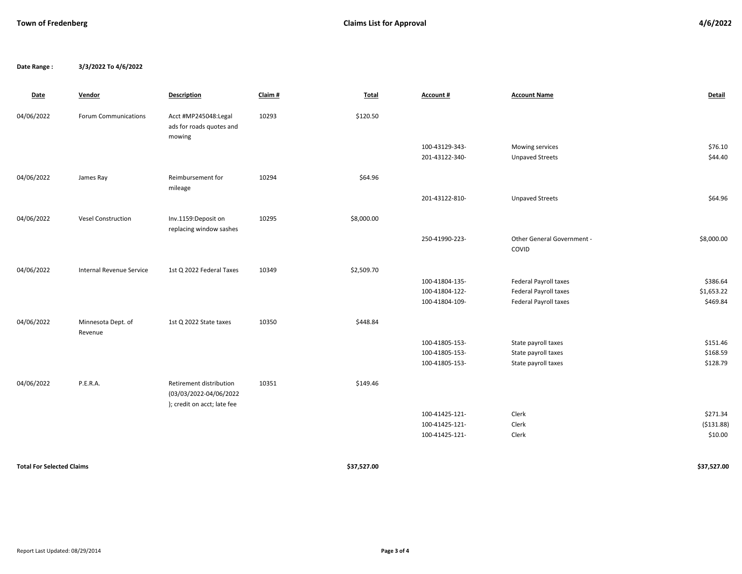**Date Range : 3/3/2022 To 4/6/2022**

| Date                             | Vendor                        | <b>Description</b>                                                               | Claim# | Total       | Account #      | <b>Account Name</b>                 | Detail      |
|----------------------------------|-------------------------------|----------------------------------------------------------------------------------|--------|-------------|----------------|-------------------------------------|-------------|
| 04/06/2022                       | Forum Communications          | Acct #MP245048:Legal<br>ads for roads quotes and<br>mowing                       | 10293  | \$120.50    |                |                                     |             |
|                                  |                               |                                                                                  |        |             | 100-43129-343- | Mowing services                     | \$76.10     |
|                                  |                               |                                                                                  |        |             | 201-43122-340- | <b>Unpaved Streets</b>              | \$44.40     |
| 04/06/2022                       | James Ray                     | Reimbursement for<br>mileage                                                     | 10294  | \$64.96     |                |                                     |             |
|                                  |                               |                                                                                  |        |             | 201-43122-810- | <b>Unpaved Streets</b>              | \$64.96     |
| 04/06/2022                       | <b>Vesel Construction</b>     | Inv.1159:Deposit on<br>replacing window sashes                                   | 10295  | \$8,000.00  |                |                                     |             |
|                                  |                               |                                                                                  |        |             | 250-41990-223- | Other General Government -<br>COVID | \$8,000.00  |
| 04/06/2022                       | Internal Revenue Service      | 1st Q 2022 Federal Taxes                                                         | 10349  | \$2,509.70  |                |                                     |             |
|                                  |                               |                                                                                  |        |             | 100-41804-135- | Federal Payroll taxes               | \$386.64    |
|                                  |                               |                                                                                  |        |             | 100-41804-122- | Federal Payroll taxes               | \$1,653.22  |
|                                  |                               |                                                                                  |        |             | 100-41804-109- | Federal Payroll taxes               | \$469.84    |
| 04/06/2022                       | Minnesota Dept. of<br>Revenue | 1st Q 2022 State taxes                                                           | 10350  | \$448.84    |                |                                     |             |
|                                  |                               |                                                                                  |        |             | 100-41805-153- | State payroll taxes                 | \$151.46    |
|                                  |                               |                                                                                  |        |             | 100-41805-153- | State payroll taxes                 | \$168.59    |
|                                  |                               |                                                                                  |        |             | 100-41805-153- | State payroll taxes                 | \$128.79    |
| 04/06/2022                       | P.E.R.A.                      | Retirement distribution<br>(03/03/2022-04/06/2022<br>); credit on acct; late fee | 10351  | \$149.46    |                |                                     |             |
|                                  |                               |                                                                                  |        |             | 100-41425-121- | Clerk                               | \$271.34    |
|                                  |                               |                                                                                  |        |             | 100-41425-121- | Clerk                               | ( \$131.88) |
|                                  |                               |                                                                                  |        |             | 100-41425-121- | Clerk                               | \$10.00     |
|                                  |                               |                                                                                  |        | \$37,527.00 |                |                                     | \$37,527.00 |
| <b>Total For Selected Claims</b> |                               |                                                                                  |        |             |                |                                     |             |